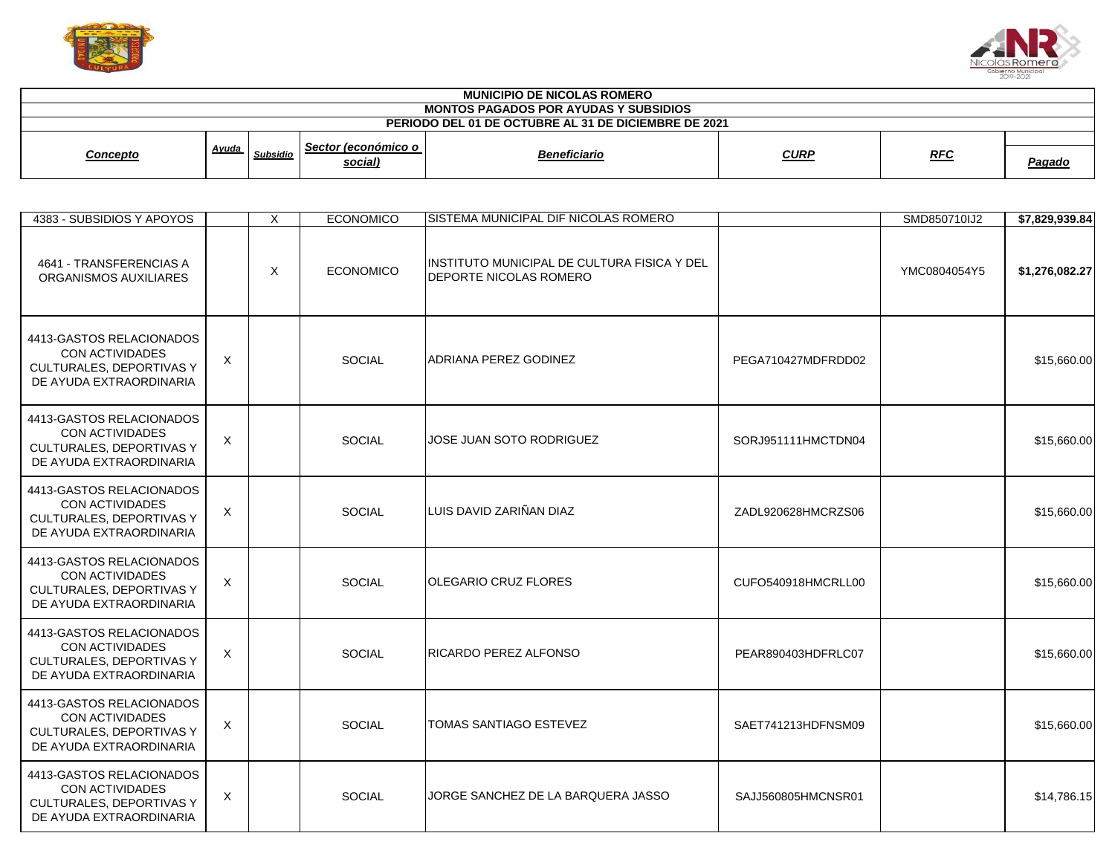



| <b>MUNICIPIO DE NICOLAS ROMERO</b><br><b>MONTOS PAGADOS POR AYUDAS Y SUBSIDIOS</b> |       |                 |                                |                                                                               |             |              |                |
|------------------------------------------------------------------------------------|-------|-----------------|--------------------------------|-------------------------------------------------------------------------------|-------------|--------------|----------------|
| PERIODO DEL 01 DE OCTUBRE AL 31 DE DICIEMBRE DE 2021                               |       |                 |                                |                                                                               |             |              |                |
| <b>Concepto</b>                                                                    | Ayuda | <b>Subsidio</b> | Sector (económico o<br>social) | <b>Beneficiario</b>                                                           | <b>CURP</b> | <u>RFC</u>   | <b>Pagado</b>  |
| 4383 - SUBSIDIOS Y APOYOS                                                          |       |                 | <b>ECONOMICO</b>               | <b>ISISTEMA MUNICIPAL DIF NICOLAS ROMERO</b>                                  |             | SMD850710IJ2 | \$7,829,939.84 |
| 4641 - TRANSFERENCIAS A<br>ORGANISMOS AUXILIARES                                   |       | $\lambda$       | <b>ECONOMICO</b>               | INSTITUTO MUNICIPAL DE CULTURA FISICA Y DEL<br><b>IDEPORTE NICOLAS ROMERO</b> |             | YMC0804054Y5 | \$1,276,082.27 |

| ORGANISMOS AUXILIARES                                                                                            |          |               | <b>IDEPORTE NICOLAS ROMERO</b>     |                    |             |
|------------------------------------------------------------------------------------------------------------------|----------|---------------|------------------------------------|--------------------|-------------|
| 4413-GASTOS RELACIONADOS<br><b>CON ACTIVIDADES</b><br><b>CULTURALES, DEPORTIVAS Y</b><br>DE AYUDA EXTRAORDINARIA | X        | <b>SOCIAL</b> | ADRIANA PEREZ GODINEZ              | PEGA710427MDFRDD02 | \$15,660.00 |
| 4413-GASTOS RELACIONADOS<br><b>CON ACTIVIDADES</b><br>CULTURALES, DEPORTIVAS Y<br>DE AYUDA EXTRAORDINARIA        | X        | <b>SOCIAL</b> | JOSE JUAN SOTO RODRIGUEZ           | SORJ951111HMCTDN04 | \$15,660.00 |
| 4413-GASTOS RELACIONADOS<br><b>CON ACTIVIDADES</b><br>CULTURALES, DEPORTIVAS Y<br>DE AYUDA EXTRAORDINARIA        | X        | SOCIAL        | LUIS DAVID ZARIÑAN DIAZ            | ZADL920628HMCRZS06 | \$15,660.00 |
| 4413-GASTOS RELACIONADOS<br><b>CON ACTIVIDADES</b><br><b>CULTURALES, DEPORTIVAS Y</b><br>DE AYUDA EXTRAORDINARIA | $\times$ | <b>SOCIAL</b> | <b>OLEGARIO CRUZ FLORES</b>        | CUFO540918HMCRLL00 | \$15,660.00 |
| 4413-GASTOS RELACIONADOS<br><b>CON ACTIVIDADES</b><br>CULTURALES, DEPORTIVAS Y<br>DE AYUDA EXTRAORDINARIA        | X        | <b>SOCIAL</b> | RICARDO PEREZ ALFONSO              | PEAR890403HDFRLC07 | \$15,660.00 |
| 4413-GASTOS RELACIONADOS<br><b>CON ACTIVIDADES</b><br>CULTURALES, DEPORTIVAS Y<br>DE AYUDA EXTRAORDINARIA        | $\times$ | <b>SOCIAL</b> | <b>TOMAS SANTIAGO ESTEVEZ</b>      | SAET741213HDFNSM09 | \$15,660.00 |
| 4413-GASTOS RELACIONADOS<br><b>CON ACTIVIDADES</b><br><b>CULTURALES, DEPORTIVAS Y</b><br>DE AYUDA EXTRAORDINARIA | X        | <b>SOCIAL</b> | JORGE SANCHEZ DE LA BARQUERA JASSO | SAJJ560805HMCNSR01 | \$14,786.15 |